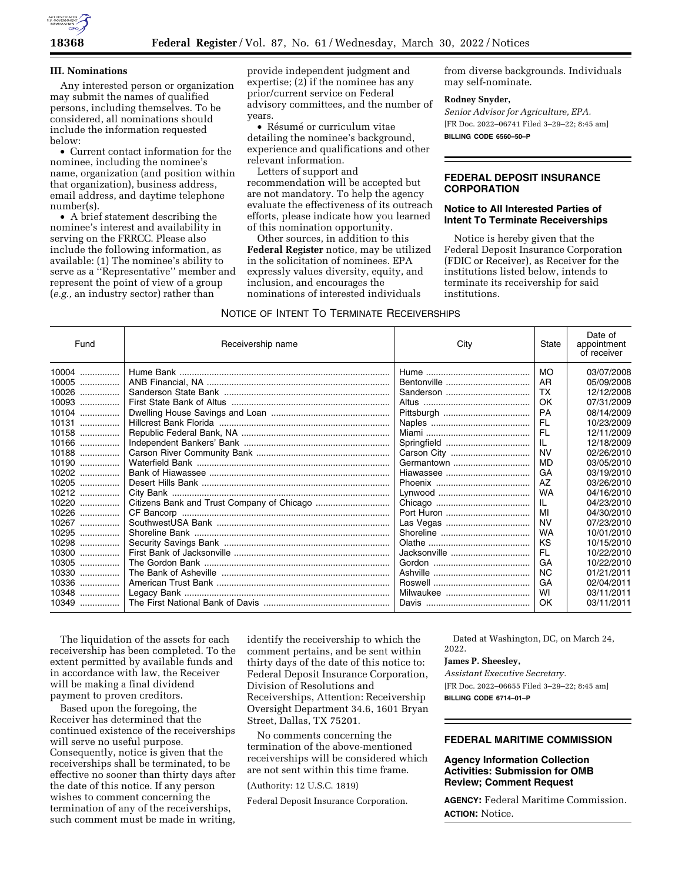

### **III. Nominations**

Any interested person or organization may submit the names of qualified persons, including themselves. To be considered, all nominations should include the information requested below:

• Current contact information for the nominee, including the nominee's name, organization (and position within that organization), business address, email address, and daytime telephone number(s).

• A brief statement describing the nominee's interest and availability in serving on the FRRCC. Please also include the following information, as available: (1) The nominee's ability to serve as a ''Representative'' member and represent the point of view of a group (*e.g.,* an industry sector) rather than

provide independent judgment and expertise; (2) if the nominee has any prior/current service on Federal advisory committees, and the number of years.

• Résumé or curriculum vitae detailing the nominee's background, experience and qualifications and other relevant information.

Letters of support and recommendation will be accepted but are not mandatory. To help the agency evaluate the effectiveness of its outreach efforts, please indicate how you learned of this nomination opportunity.

Other sources, in addition to this **Federal Register** notice, may be utilized in the solicitation of nominees. EPA expressly values diversity, equity, and inclusion, and encourages the nominations of interested individuals

from diverse backgrounds. Individuals may self-nominate.

## **Rodney Snyder,**

*Senior Advisor for Agriculture, EPA.*  [FR Doc. 2022–06741 Filed 3–29–22; 8:45 am] **BILLING CODE 6560–50–P** 

# **FEDERAL DEPOSIT INSURANCE CORPORATION**

## **Notice to All Interested Parties of Intent To Terminate Receiverships**

Notice is hereby given that the Federal Deposit Insurance Corporation (FDIC or Receiver), as Receiver for the institutions listed below, intends to terminate its receivership for said institutions.

# NOTICE OF INTENT TO TERMINATE RECEIVERSHIPS

| Fund       | Receivership name | City         | State     | Date of<br>appointment<br>of receiver |
|------------|-------------------|--------------|-----------|---------------------------------------|
| $10004$    |                   |              | <b>MO</b> | 03/07/2008                            |
| 10005      |                   |              | AR        | 05/09/2008                            |
| 10026<br>. |                   | Sanderson    | <b>TX</b> | 12/12/2008                            |
| $10093$    |                   |              | OK        | 07/31/2009                            |
| 10104      |                   |              | PA        | 08/14/2009                            |
| 10131<br>. |                   |              | FL        | 10/23/2009                            |
| 10158      |                   |              | FL        | 12/11/2009                            |
| 10166      |                   |              | IL        | 12/18/2009                            |
| 10188      |                   | Carson City  | <b>NV</b> | 02/26/2010                            |
| 10190      |                   |              | <b>MD</b> | 03/05/2010                            |
| 10202      |                   |              | GA        | 03/19/2010                            |
| $10205$    |                   |              | AZ        | 03/26/2010                            |
| 10212      |                   |              | WA        | 04/16/2010                            |
| 10220      |                   |              | IL        | 04/23/2010                            |
| 10226      |                   |              | MI        | 04/30/2010                            |
| 10267      |                   | Las Vegas    | <b>NV</b> | 07/23/2010                            |
| 10295      |                   |              | WA        | 10/01/2010                            |
| 10298      |                   |              | KS        | 10/15/2010                            |
| $10300$    |                   | Jacksonville | FL        | 10/22/2010                            |
| 10305<br>. |                   |              | GA        | 10/22/2010                            |
| $10330$    |                   |              | <b>NC</b> | 01/21/2011                            |
| 10336<br>. |                   |              | GA        | 02/04/2011                            |
| 10348      |                   |              | WI        | 03/11/2011                            |
| 10349      |                   |              | OK        | 03/11/2011                            |

The liquidation of the assets for each receivership has been completed. To the extent permitted by available funds and in accordance with law, the Receiver will be making a final dividend payment to proven creditors.

Based upon the foregoing, the Receiver has determined that the continued existence of the receiverships will serve no useful purpose. Consequently, notice is given that the receiverships shall be terminated, to be effective no sooner than thirty days after the date of this notice. If any person wishes to comment concerning the termination of any of the receiverships, such comment must be made in writing,

identify the receivership to which the comment pertains, and be sent within thirty days of the date of this notice to: Federal Deposit Insurance Corporation, Division of Resolutions and Receiverships, Attention: Receivership Oversight Department 34.6, 1601 Bryan Street, Dallas, TX 75201.

No comments concerning the termination of the above-mentioned receiverships will be considered which are not sent within this time frame.

(Authority: 12 U.S.C. 1819)

Federal Deposit Insurance Corporation.

Dated at Washington, DC, on March 24, 2022.

#### **James P. Sheesley,**

*Assistant Executive Secretary.*  [FR Doc. 2022–06655 Filed 3–29–22; 8:45 am] **BILLING CODE 6714–01–P** 

# **FEDERAL MARITIME COMMISSION**

## **Agency Information Collection Activities: Submission for OMB Review; Comment Request**

**AGENCY:** Federal Maritime Commission. **ACTION:** Notice.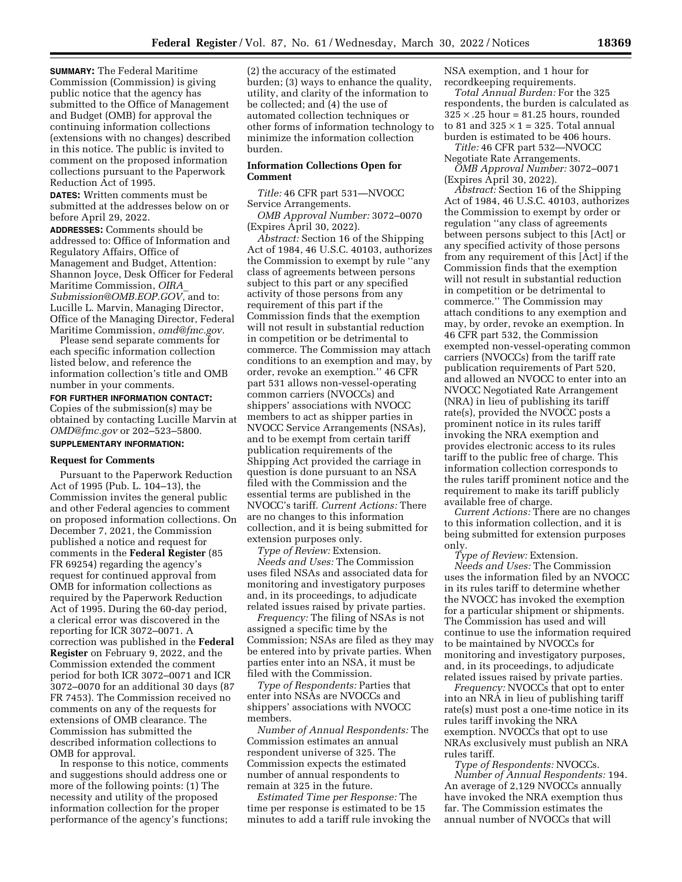**SUMMARY:** The Federal Maritime Commission (Commission) is giving public notice that the agency has submitted to the Office of Management and Budget (OMB) for approval the continuing information collections (extensions with no changes) described in this notice. The public is invited to comment on the proposed information collections pursuant to the Paperwork Reduction Act of 1995.

**DATES:** Written comments must be submitted at the addresses below on or before April 29, 2022.

**ADDRESSES:** Comments should be addressed to: Office of Information and Regulatory Affairs, Office of Management and Budget, Attention: Shannon Joyce, Desk Officer for Federal Maritime Commission, *[OIRA](mailto:OIRA_Submission@OMB.EOP.GOV)*\_ *[Submission@OMB.EOP.GOV,](mailto:OIRA_Submission@OMB.EOP.GOV)* and to: Lucille L. Marvin, Managing Director, Office of the Managing Director, Federal Maritime Commission, *[omd@fmc.gov.](mailto:omd@fmc.gov)* 

Please send separate comments for each specific information collection listed below, and reference the information collection's title and OMB number in your comments.

**FOR FURTHER INFORMATION CONTACT:**  Copies of the submission(s) may be obtained by contacting Lucille Marvin at *[OMD@fmc.gov](mailto:OMD@fmc.gov)* or 202–523–5800. **SUPPLEMENTARY INFORMATION:** 

#### **Request for Comments**

Pursuant to the Paperwork Reduction Act of 1995 (Pub. L. 104–13), the Commission invites the general public and other Federal agencies to comment on proposed information collections. On December 7, 2021, the Commission published a notice and request for comments in the **Federal Register** (85 FR 69254) regarding the agency's request for continued approval from OMB for information collections as required by the Paperwork Reduction Act of 1995. During the 60-day period, a clerical error was discovered in the reporting for ICR 3072–0071. A correction was published in the **Federal Register** on February 9, 2022, and the Commission extended the comment period for both ICR 3072–0071 and ICR 3072–0070 for an additional 30 days (87 FR 7453). The Commission received no comments on any of the requests for extensions of OMB clearance. The Commission has submitted the described information collections to OMB for approval.

In response to this notice, comments and suggestions should address one or more of the following points: (1) The necessity and utility of the proposed information collection for the proper performance of the agency's functions;

(2) the accuracy of the estimated burden; (3) ways to enhance the quality, utility, and clarity of the information to be collected; and (4) the use of automated collection techniques or other forms of information technology to minimize the information collection burden.

## **Information Collections Open for Comment**

*Title:* 46 CFR part 531—NVOCC Service Arrangements.

*OMB Approval Number:* 3072–0070 (Expires April 30, 2022).

*Abstract:* Section 16 of the Shipping Act of 1984, 46 U.S.C. 40103, authorizes the Commission to exempt by rule ''any class of agreements between persons subject to this part or any specified activity of those persons from any requirement of this part if the Commission finds that the exemption will not result in substantial reduction in competition or be detrimental to commerce. The Commission may attach conditions to an exemption and may, by order, revoke an exemption.'' 46 CFR part 531 allows non-vessel-operating common carriers (NVOCCs) and shippers' associations with NVOCC members to act as shipper parties in NVOCC Service Arrangements (NSAs), and to be exempt from certain tariff publication requirements of the Shipping Act provided the carriage in question is done pursuant to an NSA filed with the Commission and the essential terms are published in the NVOCC's tariff. *Current Actions:* There are no changes to this information collection, and it is being submitted for extension purposes only.

*Type of Review:* Extension. *Needs and Uses:* The Commission uses filed NSAs and associated data for monitoring and investigatory purposes and, in its proceedings, to adjudicate related issues raised by private parties.

*Frequency:* The filing of NSAs is not assigned a specific time by the Commission; NSAs are filed as they may be entered into by private parties. When parties enter into an NSA, it must be filed with the Commission.

*Type of Respondents:* Parties that enter into NSAs are NVOCCs and shippers' associations with NVOCC members.

*Number of Annual Respondents:* The Commission estimates an annual respondent universe of 325. The Commission expects the estimated number of annual respondents to remain at 325 in the future.

*Estimated Time per Response:* The time per response is estimated to be 15 minutes to add a tariff rule invoking the NSA exemption, and 1 hour for recordkeeping requirements.

*Total Annual Burden:* For the 325 respondents, the burden is calculated as  $325 \times .25$  hour = 81.25 hours, rounded to 81 and  $325 \times 1 = 325$ . Total annual burden is estimated to be 406 hours. *Title:* 46 CFR part 532—NVOCC

Negotiate Rate Arrangements.

*OMB Approval Number:* 3072–0071 (Expires April 30, 2022).

*Abstract:* Section 16 of the Shipping Act of 1984, 46 U.S.C. 40103, authorizes the Commission to exempt by order or regulation ''any class of agreements between persons subject to this [Act] or any specified activity of those persons from any requirement of this [Act] if the Commission finds that the exemption will not result in substantial reduction in competition or be detrimental to commerce.'' The Commission may attach conditions to any exemption and may, by order, revoke an exemption. In 46 CFR part 532, the Commission exempted non-vessel-operating common carriers (NVOCCs) from the tariff rate publication requirements of Part 520, and allowed an NVOCC to enter into an NVOCC Negotiated Rate Arrangement (NRA) in lieu of publishing its tariff rate(s), provided the NVOCC posts a prominent notice in its rules tariff invoking the NRA exemption and provides electronic access to its rules tariff to the public free of charge. This information collection corresponds to the rules tariff prominent notice and the requirement to make its tariff publicly available free of charge.

*Current Actions:* There are no changes to this information collection, and it is being submitted for extension purposes only.

*Type of Review:* Extension.

*Needs and Uses:* The Commission uses the information filed by an NVOCC in its rules tariff to determine whether the NVOCC has invoked the exemption for a particular shipment or shipments. The Commission has used and will continue to use the information required to be maintained by NVOCCs for monitoring and investigatory purposes, and, in its proceedings, to adjudicate related issues raised by private parties.

*Frequency:* NVOCCs that opt to enter into an NRA in lieu of publishing tariff rate(s) must post a one-time notice in its rules tariff invoking the NRA exemption. NVOCCs that opt to use NRAs exclusively must publish an NRA rules tariff.

*Type of Respondents:* NVOCCs. *Number of Annual Respondents:* 194. An average of 2,129 NVOCCs annually have invoked the NRA exemption thus far. The Commission estimates the annual number of NVOCCs that will